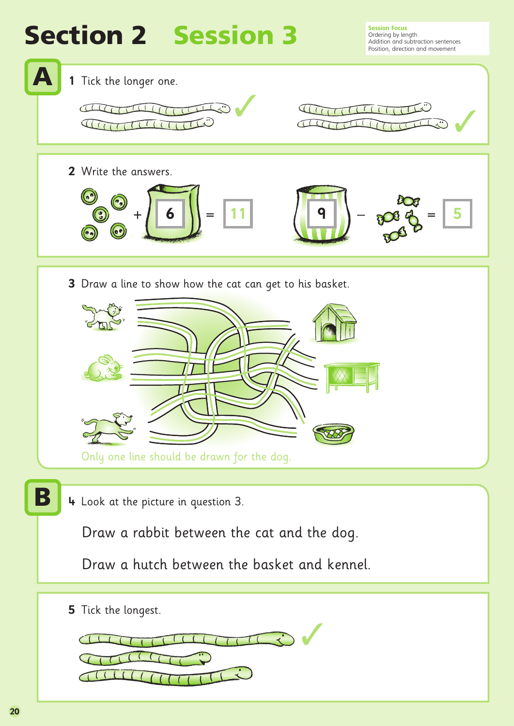## **Section 2 Session 3**

**Session Focus**<br>Ordering by length Addition and subtraction sentences Position, direction and movement